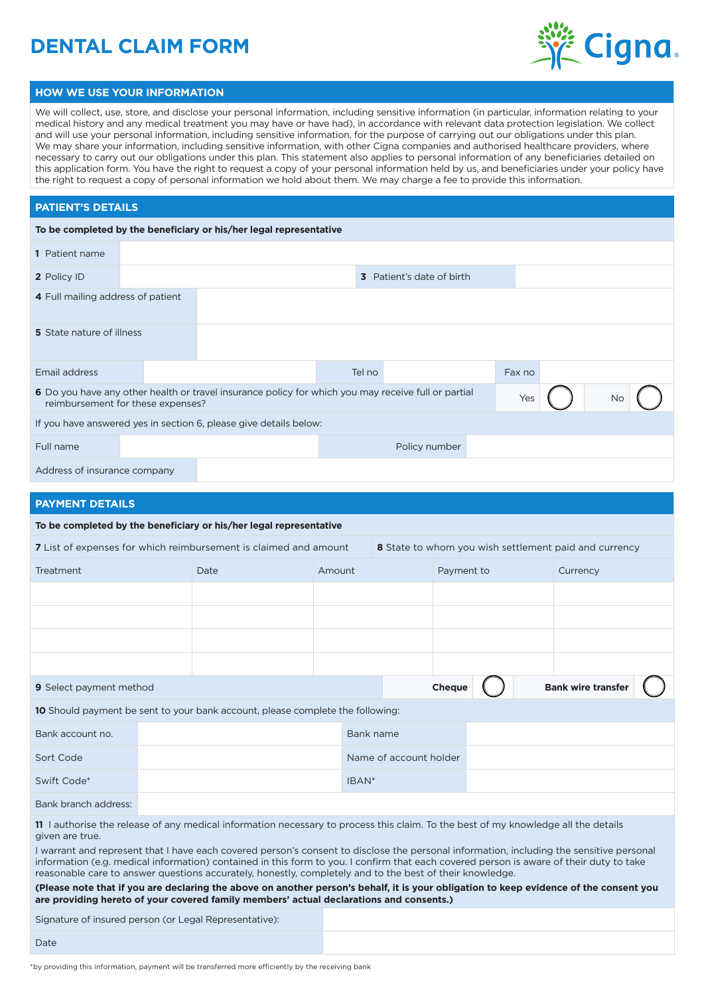# **DENTAL CLAIM FORM**



#### **HOW WE USE YOUR INFORMATION**

We will collect, use, store, and disclose your personal information, including sensitive information (in particular, information relating to your medical history and any medical treatment you may have or have had), in accordance with relevant data protection legislation. We collect and will use your personal information, including sensitive information, for the purpose of carrying out our obligations under this plan. We may share your information, including sensitive information, with other Cigna companies and authorised healthcare providers, where necessary to carry out our obligations under this plan. This statement also applies to personal information of any beneficiaries detailed on this application form. You have the right to request a copy of your personal information held by us, and beneficiaries under your policy have the right to request a copy of personal information we hold about them. We may charge a fee to provide this information.

#### **PATIENT'S DETAILS**

|                                   | To be completed by the beneficiary or his/her legal representative                                  |        |                           |        |    |  |
|-----------------------------------|-----------------------------------------------------------------------------------------------------|--------|---------------------------|--------|----|--|
| <b>1</b> Patient name             |                                                                                                     |        |                           |        |    |  |
| 2 Policy ID                       |                                                                                                     |        | 3 Patient's date of birth |        |    |  |
| 4 Full mailing address of patient |                                                                                                     |        |                           |        |    |  |
| <b>5</b> State nature of illness  |                                                                                                     |        |                           |        |    |  |
| Email address                     |                                                                                                     | Tel no |                           | Fax no |    |  |
| reimbursement for these expenses? | 6 Do you have any other health or travel insurance policy for which you may receive full or partial |        |                           | Yes    | No |  |
|                                   | If you have answered yes in section 6, please give details below:                                   |        |                           |        |    |  |
| Full name                         |                                                                                                     |        | Policy number             |        |    |  |
| Address of insurance company      |                                                                                                     |        |                           |        |    |  |

### **PAYMENT DETAILS**

|                                                                                                                                                                                                                                                                                                                                                                                                                                                                                                                                                                                                                                                                                                    | To be completed by the beneficiary or his/her legal representative |                   |                        |            |  |          |  |
|----------------------------------------------------------------------------------------------------------------------------------------------------------------------------------------------------------------------------------------------------------------------------------------------------------------------------------------------------------------------------------------------------------------------------------------------------------------------------------------------------------------------------------------------------------------------------------------------------------------------------------------------------------------------------------------------------|--------------------------------------------------------------------|-------------------|------------------------|------------|--|----------|--|
| <b>7</b> List of expenses for which reimbursement is claimed and amount<br>8 State to whom you wish settlement paid and currency                                                                                                                                                                                                                                                                                                                                                                                                                                                                                                                                                                   |                                                                    |                   |                        |            |  |          |  |
| <b>Treatment</b>                                                                                                                                                                                                                                                                                                                                                                                                                                                                                                                                                                                                                                                                                   | Date                                                               | Amount            |                        | Payment to |  | Currency |  |
|                                                                                                                                                                                                                                                                                                                                                                                                                                                                                                                                                                                                                                                                                                    |                                                                    |                   |                        |            |  |          |  |
|                                                                                                                                                                                                                                                                                                                                                                                                                                                                                                                                                                                                                                                                                                    |                                                                    |                   |                        |            |  |          |  |
|                                                                                                                                                                                                                                                                                                                                                                                                                                                                                                                                                                                                                                                                                                    |                                                                    |                   |                        |            |  |          |  |
|                                                                                                                                                                                                                                                                                                                                                                                                                                                                                                                                                                                                                                                                                                    |                                                                    |                   |                        |            |  |          |  |
| <b>Bank wire transfer</b><br>Cheque<br><b>9</b> Select payment method                                                                                                                                                                                                                                                                                                                                                                                                                                                                                                                                                                                                                              |                                                                    |                   |                        |            |  |          |  |
| <b>10</b> Should payment be sent to your bank account, please complete the following:                                                                                                                                                                                                                                                                                                                                                                                                                                                                                                                                                                                                              |                                                                    |                   |                        |            |  |          |  |
| Bank account no.                                                                                                                                                                                                                                                                                                                                                                                                                                                                                                                                                                                                                                                                                   |                                                                    |                   | Bank name              |            |  |          |  |
| Sort Code                                                                                                                                                                                                                                                                                                                                                                                                                                                                                                                                                                                                                                                                                          |                                                                    |                   | Name of account holder |            |  |          |  |
| Swift Code*                                                                                                                                                                                                                                                                                                                                                                                                                                                                                                                                                                                                                                                                                        |                                                                    | IBAN <sup>*</sup> |                        |            |  |          |  |
| Bank branch address:                                                                                                                                                                                                                                                                                                                                                                                                                                                                                                                                                                                                                                                                               |                                                                    |                   |                        |            |  |          |  |
| 11 I authorise the release of any medical information necessary to process this claim. To the best of my knowledge all the details<br>given are true.<br>I warrant and represent that I have each covered person's consent to disclose the personal information, including the sensitive personal<br>information (e.g. medical information) contained in this form to you. I confirm that each covered person is aware of their duty to take<br>reasonable care to answer questions accurately, honestly, completely and to the best of their knowledge.<br>(Please note that if you are declaring the above on another person's behalf, it is your obligation to keep evidence of the consent you |                                                                    |                   |                        |            |  |          |  |

**(Please note that if you are declaring the above on another person's behalf, it is your obligation to keep evidence of the consent you are providing hereto of your covered family members' actual declarations and consents.)**

Signature of insured person (or Legal Representative):

Date